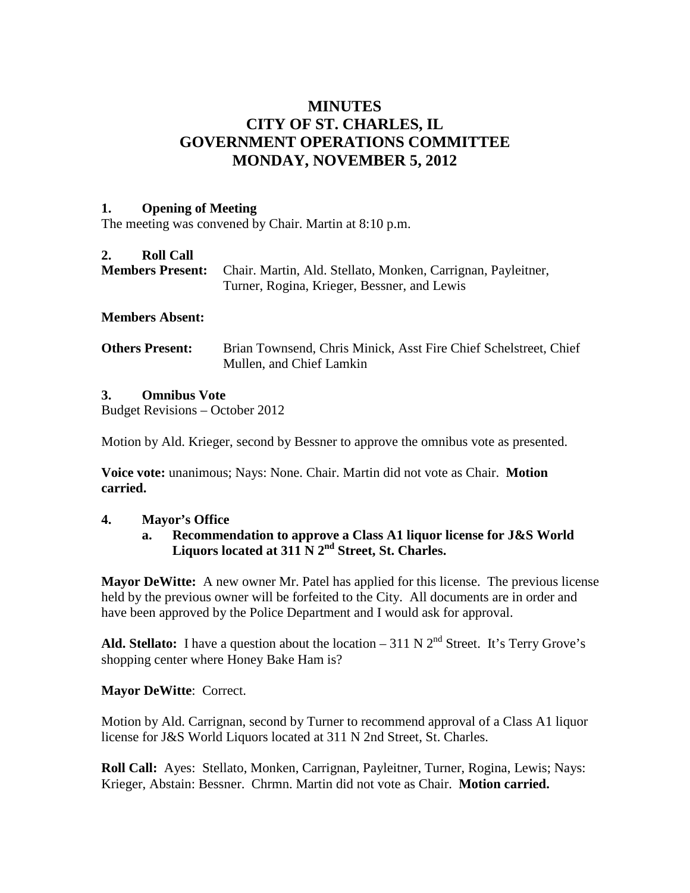# **MINUTES CITY OF ST. CHARLES, IL GOVERNMENT OPERATIONS COMMITTEE MONDAY, NOVEMBER 5, 2012**

### **1. Opening of Meeting**

The meeting was convened by Chair. Martin at 8:10 p.m.

## **2. Roll Call**

| <b>Members Present:</b> Chair. Martin, Ald. Stellato, Monken, Carrignan, Payleitner, |
|--------------------------------------------------------------------------------------|
| Turner, Rogina, Krieger, Bessner, and Lewis                                          |

## **Members Absent:**

**Others Present:** Brian Townsend, Chris Minick, Asst Fire Chief Schelstreet, Chief Mullen, and Chief Lamkin

## **3. Omnibus Vote**

Budget Revisions – October 2012

Motion by Ald. Krieger, second by Bessner to approve the omnibus vote as presented.

**Voice vote:** unanimous; Nays: None. Chair. Martin did not vote as Chair. **Motion carried.**

### **4. Mayor's Office**

## **a. Recommendation to approve a Class A1 liquor license for J&S World Liquors located at 311 N 2nd Street, St. Charles.**

**Mayor DeWitte:** A new owner Mr. Patel has applied for this license. The previous license held by the previous owner will be forfeited to the City. All documents are in order and have been approved by the Police Department and I would ask for approval.

Ald. Stellato: I have a question about the location  $-311$  N  $2<sup>nd</sup>$  Street. It's Terry Grove's shopping center where Honey Bake Ham is?

# **Mayor DeWitte**: Correct.

Motion by Ald. Carrignan, second by Turner to recommend approval of a Class A1 liquor license for J&S World Liquors located at 311 N 2nd Street, St. Charles.

**Roll Call:** Ayes: Stellato, Monken, Carrignan, Payleitner, Turner, Rogina, Lewis; Nays: Krieger, Abstain: Bessner. Chrmn. Martin did not vote as Chair. **Motion carried.**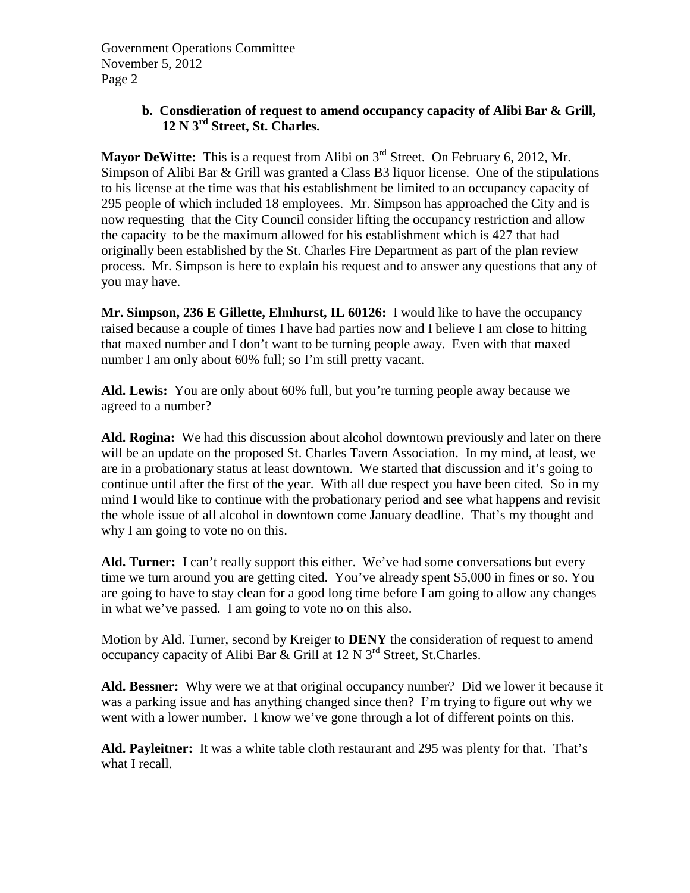# **b. Consdieration of request to amend occupancy capacity of Alibi Bar & Grill, 12 N 3rd Street, St. Charles.**

**Mayor DeWitte:** This is a request from Alibi on 3<sup>rd</sup> Street. On February 6, 2012, Mr. Simpson of Alibi Bar & Grill was granted a Class B3 liquor license. One of the stipulations to his license at the time was that his establishment be limited to an occupancy capacity of 295 people of which included 18 employees. Mr. Simpson has approached the City and is now requesting that the City Council consider lifting the occupancy restriction and allow the capacity to be the maximum allowed for his establishment which is 427 that had originally been established by the St. Charles Fire Department as part of the plan review process. Mr. Simpson is here to explain his request and to answer any questions that any of you may have.

**Mr. Simpson, 236 E Gillette, Elmhurst, IL 60126:** I would like to have the occupancy raised because a couple of times I have had parties now and I believe I am close to hitting that maxed number and I don't want to be turning people away. Even with that maxed number I am only about 60% full; so I'm still pretty vacant.

**Ald. Lewis:** You are only about 60% full, but you're turning people away because we agreed to a number?

**Ald. Rogina:** We had this discussion about alcohol downtown previously and later on there will be an update on the proposed St. Charles Tavern Association. In my mind, at least, we are in a probationary status at least downtown. We started that discussion and it's going to continue until after the first of the year. With all due respect you have been cited. So in my mind I would like to continue with the probationary period and see what happens and revisit the whole issue of all alcohol in downtown come January deadline. That's my thought and why I am going to vote no on this.

**Ald. Turner:** I can't really support this either. We've had some conversations but every time we turn around you are getting cited. You've already spent \$5,000 in fines or so. You are going to have to stay clean for a good long time before I am going to allow any changes in what we've passed. I am going to vote no on this also.

Motion by Ald. Turner, second by Kreiger to **DENY** the consideration of request to amend occupancy capacity of Alibi Bar & Grill at 12 N 3<sup>rd</sup> Street, St.Charles.

**Ald. Bessner:** Why were we at that original occupancy number? Did we lower it because it was a parking issue and has anything changed since then? I'm trying to figure out why we went with a lower number. I know we've gone through a lot of different points on this.

**Ald. Payleitner:** It was a white table cloth restaurant and 295 was plenty for that. That's what I recall.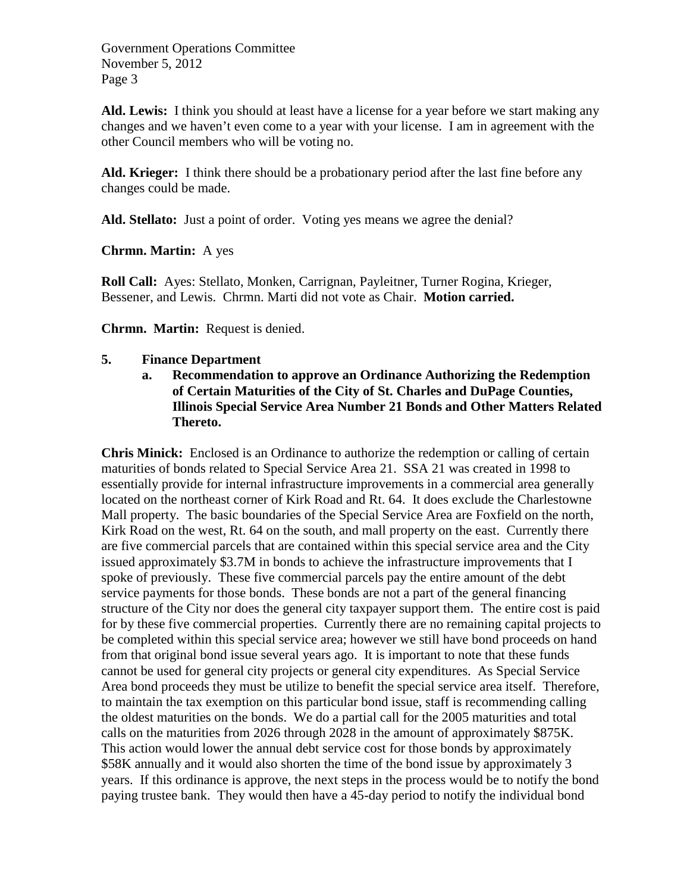**Ald. Lewis:** I think you should at least have a license for a year before we start making any changes and we haven't even come to a year with your license. I am in agreement with the other Council members who will be voting no.

**Ald. Krieger:** I think there should be a probationary period after the last fine before any changes could be made.

**Ald. Stellato:** Just a point of order. Voting yes means we agree the denial?

**Chrmn. Martin:** A yes

**Roll Call:** Ayes: Stellato, Monken, Carrignan, Payleitner, Turner Rogina, Krieger, Bessener, and Lewis. Chrmn. Marti did not vote as Chair. **Motion carried.**

**Chrmn. Martin:** Request is denied.

## **5. Finance Department**

**a. Recommendation to approve an Ordinance Authorizing the Redemption of Certain Maturities of the City of St. Charles and DuPage Counties, Illinois Special Service Area Number 21 Bonds and Other Matters Related Thereto.**

**Chris Minick:** Enclosed is an Ordinance to authorize the redemption or calling of certain maturities of bonds related to Special Service Area 21. SSA 21 was created in 1998 to essentially provide for internal infrastructure improvements in a commercial area generally located on the northeast corner of Kirk Road and Rt. 64. It does exclude the Charlestowne Mall property. The basic boundaries of the Special Service Area are Foxfield on the north, Kirk Road on the west, Rt. 64 on the south, and mall property on the east. Currently there are five commercial parcels that are contained within this special service area and the City issued approximately \$3.7M in bonds to achieve the infrastructure improvements that I spoke of previously. These five commercial parcels pay the entire amount of the debt service payments for those bonds. These bonds are not a part of the general financing structure of the City nor does the general city taxpayer support them. The entire cost is paid for by these five commercial properties. Currently there are no remaining capital projects to be completed within this special service area; however we still have bond proceeds on hand from that original bond issue several years ago. It is important to note that these funds cannot be used for general city projects or general city expenditures. As Special Service Area bond proceeds they must be utilize to benefit the special service area itself. Therefore, to maintain the tax exemption on this particular bond issue, staff is recommending calling the oldest maturities on the bonds. We do a partial call for the 2005 maturities and total calls on the maturities from 2026 through 2028 in the amount of approximately \$875K. This action would lower the annual debt service cost for those bonds by approximately \$58K annually and it would also shorten the time of the bond issue by approximately 3 years. If this ordinance is approve, the next steps in the process would be to notify the bond paying trustee bank. They would then have a 45-day period to notify the individual bond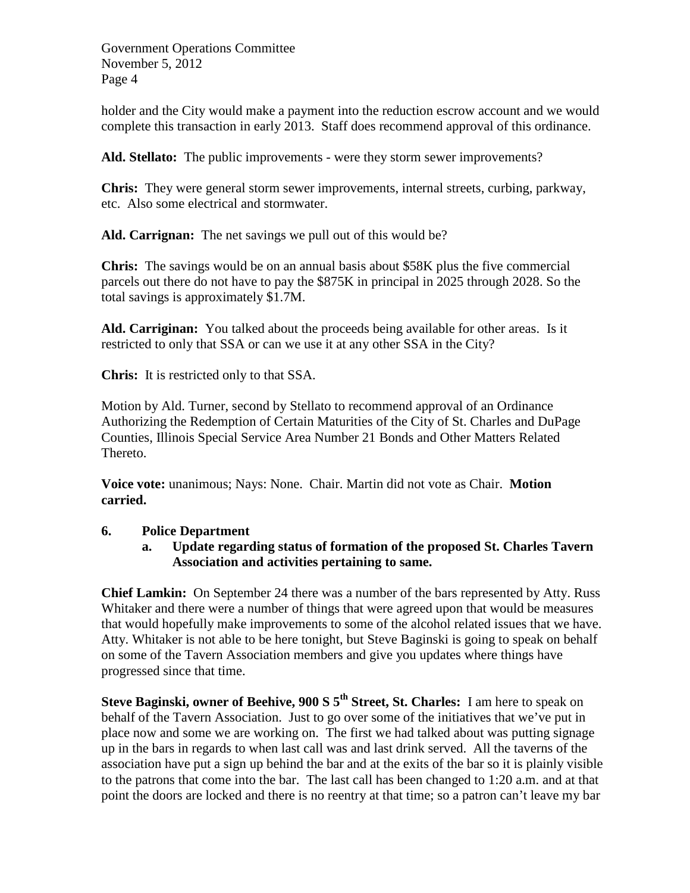holder and the City would make a payment into the reduction escrow account and we would complete this transaction in early 2013. Staff does recommend approval of this ordinance.

**Ald. Stellato:** The public improvements - were they storm sewer improvements?

**Chris:** They were general storm sewer improvements, internal streets, curbing, parkway, etc. Also some electrical and stormwater.

**Ald. Carrignan:** The net savings we pull out of this would be?

**Chris:** The savings would be on an annual basis about \$58K plus the five commercial parcels out there do not have to pay the \$875K in principal in 2025 through 2028. So the total savings is approximately \$1.7M.

**Ald. Carriginan:** You talked about the proceeds being available for other areas. Is it restricted to only that SSA or can we use it at any other SSA in the City?

**Chris:** It is restricted only to that SSA.

Motion by Ald. Turner, second by Stellato to recommend approval of an Ordinance Authorizing the Redemption of Certain Maturities of the City of St. Charles and DuPage Counties, Illinois Special Service Area Number 21 Bonds and Other Matters Related Thereto.

**Voice vote:** unanimous; Nays: None. Chair. Martin did not vote as Chair. **Motion carried.**

### **6. Police Department**

**a. Update regarding status of formation of the proposed St. Charles Tavern Association and activities pertaining to same.**

**Chief Lamkin:** On September 24 there was a number of the bars represented by Atty. Russ Whitaker and there were a number of things that were agreed upon that would be measures that would hopefully make improvements to some of the alcohol related issues that we have. Atty. Whitaker is not able to be here tonight, but Steve Baginski is going to speak on behalf on some of the Tavern Association members and give you updates where things have progressed since that time.

**Steve Baginski, owner of Beehive, 900 S 5th Street, St. Charles:** I am here to speak on behalf of the Tavern Association. Just to go over some of the initiatives that we've put in place now and some we are working on. The first we had talked about was putting signage up in the bars in regards to when last call was and last drink served. All the taverns of the association have put a sign up behind the bar and at the exits of the bar so it is plainly visible to the patrons that come into the bar. The last call has been changed to 1:20 a.m. and at that point the doors are locked and there is no reentry at that time; so a patron can't leave my bar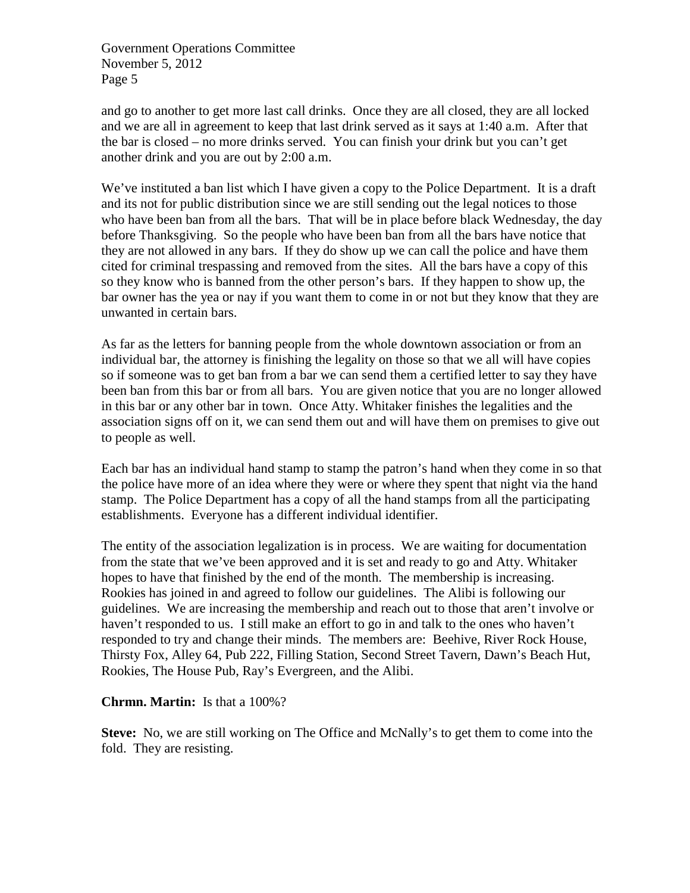and go to another to get more last call drinks. Once they are all closed, they are all locked and we are all in agreement to keep that last drink served as it says at 1:40 a.m. After that the bar is closed – no more drinks served. You can finish your drink but you can't get another drink and you are out by 2:00 a.m.

We've instituted a ban list which I have given a copy to the Police Department. It is a draft and its not for public distribution since we are still sending out the legal notices to those who have been ban from all the bars. That will be in place before black Wednesday, the day before Thanksgiving. So the people who have been ban from all the bars have notice that they are not allowed in any bars. If they do show up we can call the police and have them cited for criminal trespassing and removed from the sites. All the bars have a copy of this so they know who is banned from the other person's bars. If they happen to show up, the bar owner has the yea or nay if you want them to come in or not but they know that they are unwanted in certain bars.

As far as the letters for banning people from the whole downtown association or from an individual bar, the attorney is finishing the legality on those so that we all will have copies so if someone was to get ban from a bar we can send them a certified letter to say they have been ban from this bar or from all bars. You are given notice that you are no longer allowed in this bar or any other bar in town. Once Atty. Whitaker finishes the legalities and the association signs off on it, we can send them out and will have them on premises to give out to people as well.

Each bar has an individual hand stamp to stamp the patron's hand when they come in so that the police have more of an idea where they were or where they spent that night via the hand stamp. The Police Department has a copy of all the hand stamps from all the participating establishments. Everyone has a different individual identifier.

The entity of the association legalization is in process. We are waiting for documentation from the state that we've been approved and it is set and ready to go and Atty. Whitaker hopes to have that finished by the end of the month. The membership is increasing. Rookies has joined in and agreed to follow our guidelines. The Alibi is following our guidelines. We are increasing the membership and reach out to those that aren't involve or haven't responded to us. I still make an effort to go in and talk to the ones who haven't responded to try and change their minds. The members are: Beehive, River Rock House, Thirsty Fox, Alley 64, Pub 222, Filling Station, Second Street Tavern, Dawn's Beach Hut, Rookies, The House Pub, Ray's Evergreen, and the Alibi.

### **Chrmn. Martin:** Is that a 100%?

**Steve:** No, we are still working on The Office and McNally's to get them to come into the fold. They are resisting.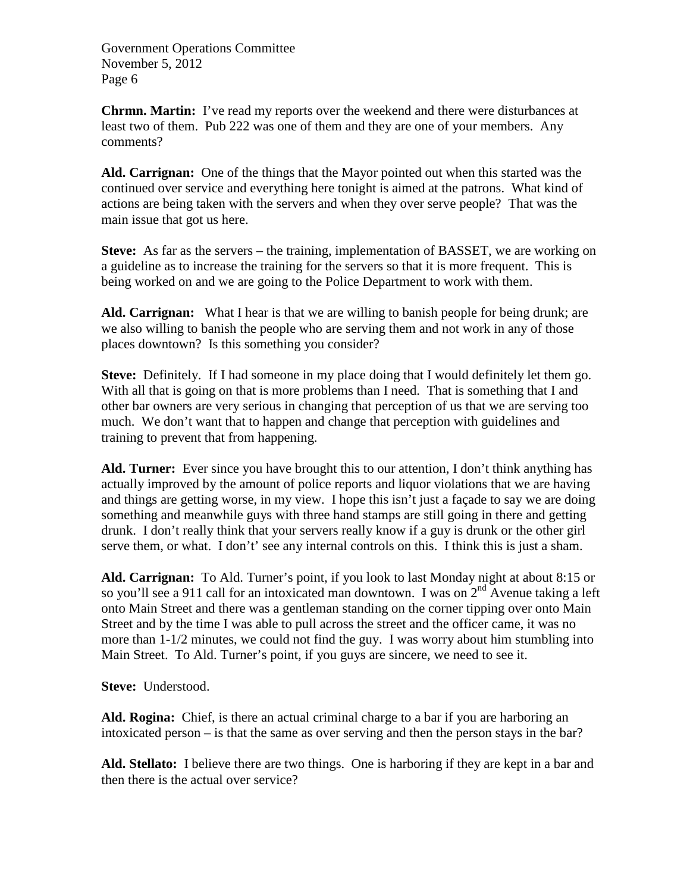**Chrmn. Martin:** I've read my reports over the weekend and there were disturbances at least two of them. Pub 222 was one of them and they are one of your members. Any comments?

**Ald. Carrignan:** One of the things that the Mayor pointed out when this started was the continued over service and everything here tonight is aimed at the patrons. What kind of actions are being taken with the servers and when they over serve people? That was the main issue that got us here.

**Steve:** As far as the servers – the training, implementation of BASSET, we are working on a guideline as to increase the training for the servers so that it is more frequent. This is being worked on and we are going to the Police Department to work with them.

**Ald. Carrignan:** What I hear is that we are willing to banish people for being drunk; are we also willing to banish the people who are serving them and not work in any of those places downtown? Is this something you consider?

**Steve:** Definitely. If I had someone in my place doing that I would definitely let them go. With all that is going on that is more problems than I need. That is something that I and other bar owners are very serious in changing that perception of us that we are serving too much. We don't want that to happen and change that perception with guidelines and training to prevent that from happening.

**Ald. Turner:** Ever since you have brought this to our attention, I don't think anything has actually improved by the amount of police reports and liquor violations that we are having and things are getting worse, in my view. I hope this isn't just a façade to say we are doing something and meanwhile guys with three hand stamps are still going in there and getting drunk. I don't really think that your servers really know if a guy is drunk or the other girl serve them, or what. I don't' see any internal controls on this. I think this is just a sham.

**Ald. Carrignan:** To Ald. Turner's point, if you look to last Monday night at about 8:15 or so you'll see a 911 call for an intoxicated man downtown. I was on  $2^{nd}$  Avenue taking a left onto Main Street and there was a gentleman standing on the corner tipping over onto Main Street and by the time I was able to pull across the street and the officer came, it was no more than 1-1/2 minutes, we could not find the guy. I was worry about him stumbling into Main Street. To Ald. Turner's point, if you guys are sincere, we need to see it.

**Steve:** Understood.

**Ald. Rogina:** Chief, is there an actual criminal charge to a bar if you are harboring an intoxicated person – is that the same as over serving and then the person stays in the bar?

**Ald. Stellato:** I believe there are two things. One is harboring if they are kept in a bar and then there is the actual over service?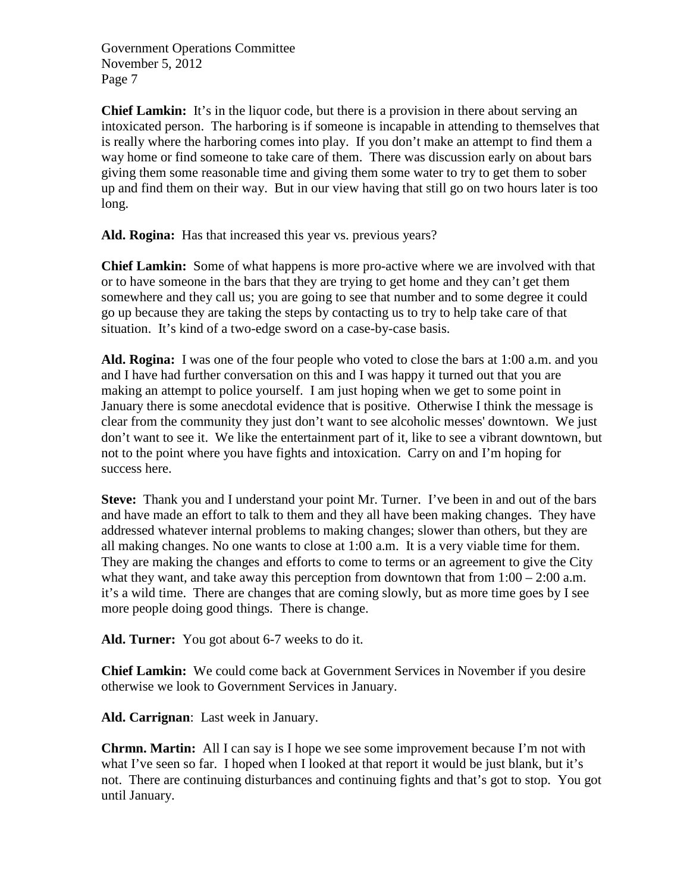**Chief Lamkin:** It's in the liquor code, but there is a provision in there about serving an intoxicated person. The harboring is if someone is incapable in attending to themselves that is really where the harboring comes into play. If you don't make an attempt to find them a way home or find someone to take care of them. There was discussion early on about bars giving them some reasonable time and giving them some water to try to get them to sober up and find them on their way. But in our view having that still go on two hours later is too long.

**Ald. Rogina:** Has that increased this year vs. previous years?

**Chief Lamkin:** Some of what happens is more pro-active where we are involved with that or to have someone in the bars that they are trying to get home and they can't get them somewhere and they call us; you are going to see that number and to some degree it could go up because they are taking the steps by contacting us to try to help take care of that situation. It's kind of a two-edge sword on a case-by-case basis.

**Ald. Rogina:** I was one of the four people who voted to close the bars at 1:00 a.m. and you and I have had further conversation on this and I was happy it turned out that you are making an attempt to police yourself. I am just hoping when we get to some point in January there is some anecdotal evidence that is positive. Otherwise I think the message is clear from the community they just don't want to see alcoholic messes' downtown. We just don't want to see it. We like the entertainment part of it, like to see a vibrant downtown, but not to the point where you have fights and intoxication. Carry on and I'm hoping for success here.

**Steve:** Thank you and I understand your point Mr. Turner. I've been in and out of the bars and have made an effort to talk to them and they all have been making changes. They have addressed whatever internal problems to making changes; slower than others, but they are all making changes. No one wants to close at 1:00 a.m. It is a very viable time for them. They are making the changes and efforts to come to terms or an agreement to give the City what they want, and take away this perception from downtown that from  $1:00 - 2:00$  a.m. it's a wild time. There are changes that are coming slowly, but as more time goes by I see more people doing good things. There is change.

**Ald. Turner:** You got about 6-7 weeks to do it.

**Chief Lamkin:** We could come back at Government Services in November if you desire otherwise we look to Government Services in January.

**Ald. Carrignan**: Last week in January.

**Chrmn. Martin:** All I can say is I hope we see some improvement because I'm not with what I've seen so far. I hoped when I looked at that report it would be just blank, but it's not. There are continuing disturbances and continuing fights and that's got to stop. You got until January.